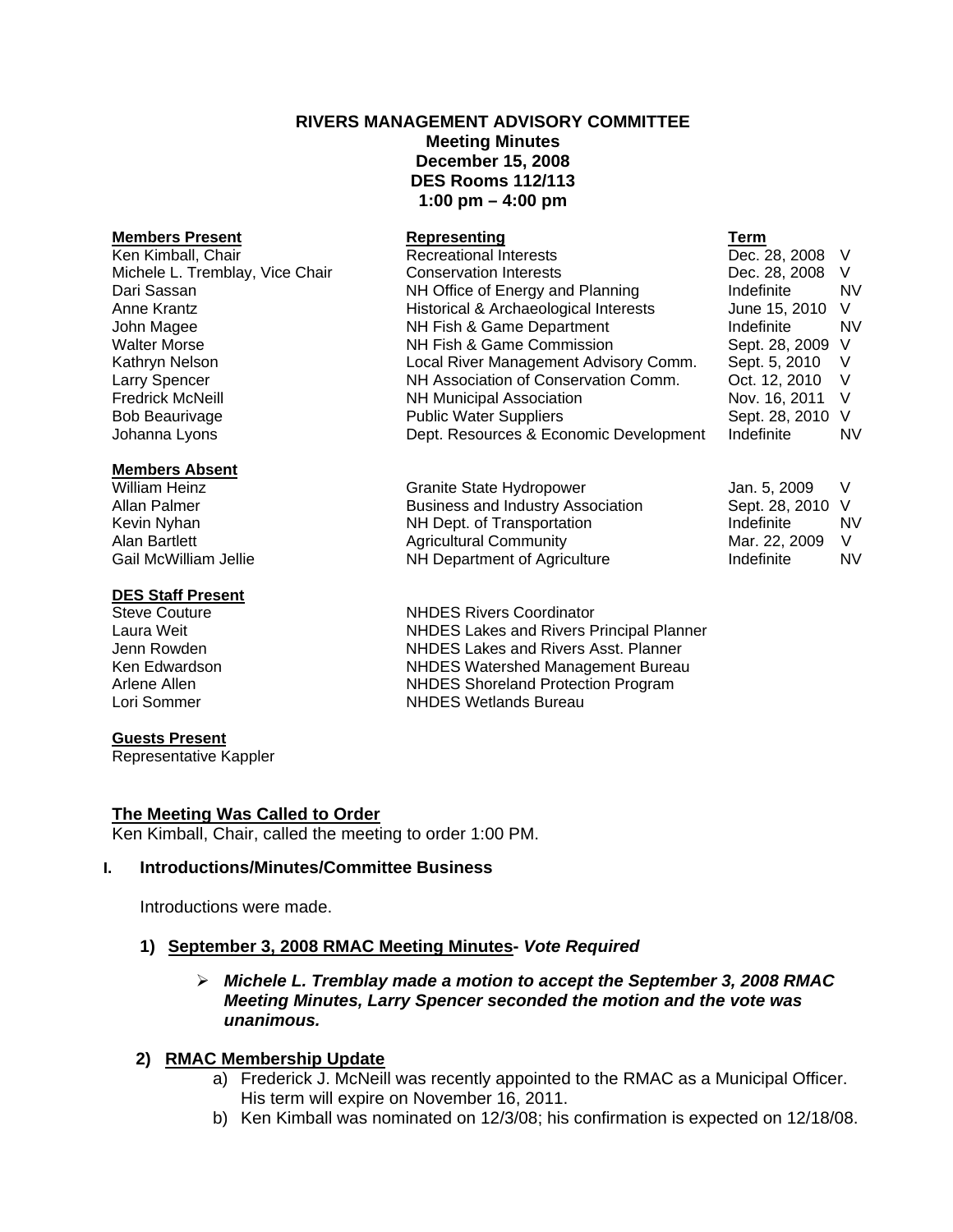# **RIVERS MANAGEMENT ADVISORY COMMITTEE Meeting Minutes December 15, 2008 DES Rooms 112/113 1:00 pm – 4:00 pm**

## **Members Present**

#### **Members Absent**

#### **DES Staff Present**

#### **Guests Present**

Representative Kappler

## **The Meeting Was Called to Order**

Ken Kimball, Chair, called the meeting to order 1:00 PM.

#### **I. Introductions/Minutes/Committee Business**

Introductions were made.

## **1) September 3, 2008 RMAC Meeting Minutes-** *Vote Required*

## ¾ *Michele L. Tremblay made a motion to accept the September 3, 2008 RMAC Meeting Minutes, Larry Spencer seconded the motion and the vote was unanimous.*

## **2) RMAC Membership Update**

- a) Frederick J. McNeill was recently appointed to the RMAC as a Municipal Officer. His term will expire on November 16, 2011.
- b) Ken Kimball was nominated on 12/3/08; his confirmation is expected on 12/18/08.

| <b>Members Present</b>          | Representing                           | Term             |           |
|---------------------------------|----------------------------------------|------------------|-----------|
| Ken Kimball, Chair              | <b>Recreational Interests</b>          | Dec. 28, 2008    | - V       |
| Michele L. Tremblay, Vice Chair | <b>Conservation Interests</b>          | Dec. 28, 2008    | - V       |
| Dari Sassan                     | NH Office of Energy and Planning       | Indefinite       | <b>NV</b> |
| Anne Krantz                     | Historical & Archaeological Interests  | June 15, 2010    | - V       |
| John Magee                      | NH Fish & Game Department              | Indefinite       | NV.       |
| <b>Walter Morse</b>             | NH Fish & Game Commission              | Sept. 28, 2009 V |           |
| Kathryn Nelson                  | Local River Management Advisory Comm.  | Sept. 5, 2010    | - V       |
| Larry Spencer                   | NH Association of Conservation Comm.   | Oct. 12, 2010    | - V       |
| <b>Fredrick McNeill</b>         | <b>NH Municipal Association</b>        | Nov. 16, 2011 V  |           |
| <b>Bob Beaurivage</b>           | <b>Public Water Suppliers</b>          | Sept. 28, 2010 V |           |
| Johanna Lyons                   | Dept. Resources & Economic Development | Indefinite       | NV.       |
|                                 |                                        |                  |           |

William Heinz **Communist Communist Communist Cranite State Hydropower** Jan. 5, 2009 V Allan Palmer **Business and Industry Association** Sept. 28, 2010 V Kevin Nyhan **NH Dept.** of Transportation **NH Dept.** of Transportation **Indefinite** NV Alan Bartlett **Agricultural Community** Mar. 22, 2009 V Gail McWilliam Jellie **NH Department of Agriculture** Indefinite Indefinite In NV

Steve Couture **NHDES Rivers Coordinator** Laura Weit NHDES Lakes and Rivers Principal Planner Jenn Rowden NHDES Lakes and Rivers Asst. Planner Ken Edwardson **NHDES Watershed Management Bureau**<br>Arlene Allen **NHDES** Shoreland Protection Program NHDES Shoreland Protection Program Lori Sommer NHDES Wetlands Bureau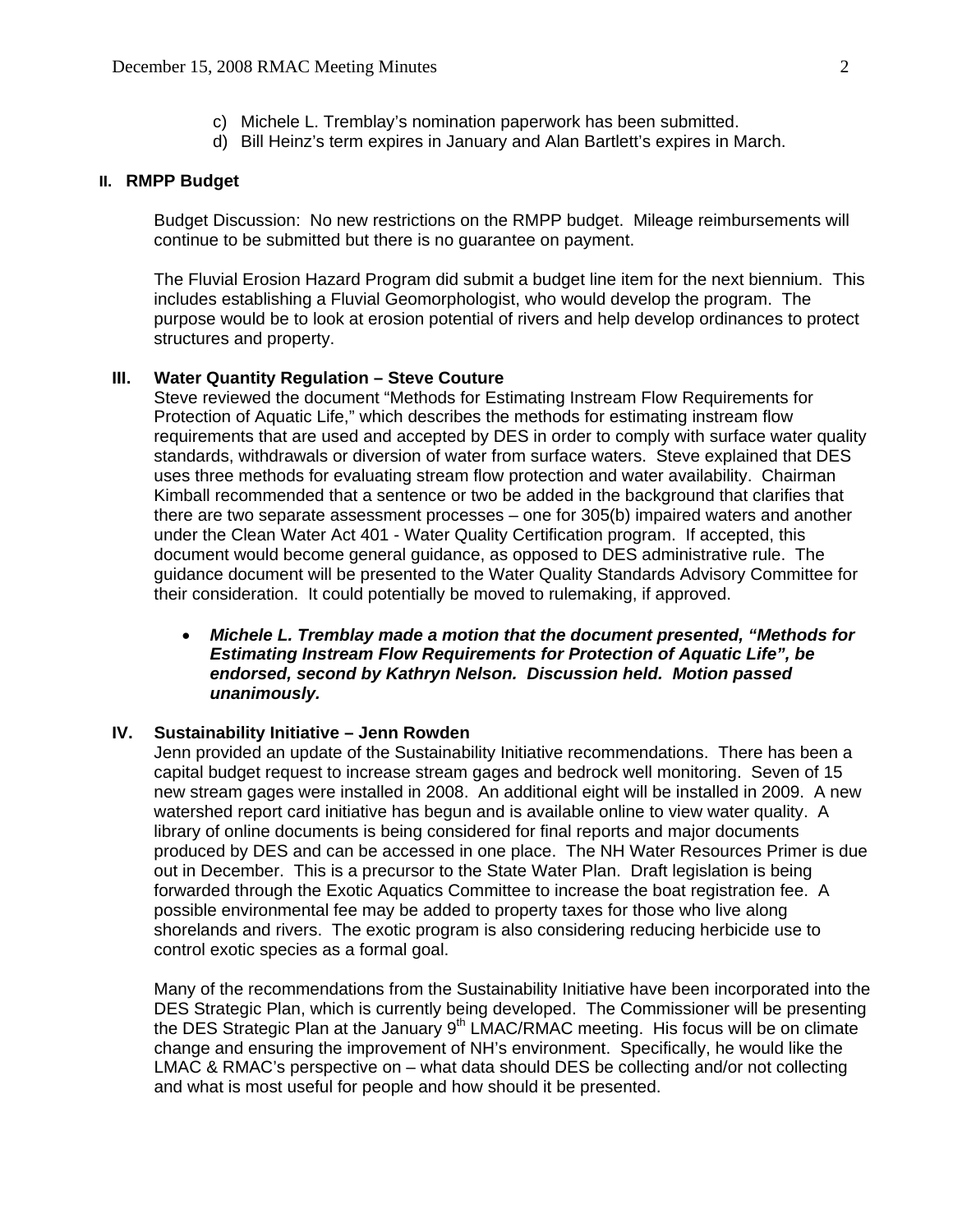- c) Michele L. Tremblay's nomination paperwork has been submitted.
- d) Bill Heinz's term expires in January and Alan Bartlett's expires in March.

#### **II. RMPP Budget**

 Budget Discussion: No new restrictions on the RMPP budget. Mileage reimbursements will continue to be submitted but there is no guarantee on payment.

The Fluvial Erosion Hazard Program did submit a budget line item for the next biennium. This includes establishing a Fluvial Geomorphologist, who would develop the program. The purpose would be to look at erosion potential of rivers and help develop ordinances to protect structures and property.

### **III. Water Quantity Regulation – Steve Couture**

Steve reviewed the document "Methods for Estimating Instream Flow Requirements for Protection of Aquatic Life," which describes the methods for estimating instream flow requirements that are used and accepted by DES in order to comply with surface water quality standards, withdrawals or diversion of water from surface waters. Steve explained that DES uses three methods for evaluating stream flow protection and water availability. Chairman Kimball recommended that a sentence or two be added in the background that clarifies that there are two separate assessment processes – one for 305(b) impaired waters and another under the Clean Water Act 401 - Water Quality Certification program. If accepted, this document would become general guidance, as opposed to DES administrative rule. The guidance document will be presented to the Water Quality Standards Advisory Committee for their consideration. It could potentially be moved to rulemaking, if approved.

• *Michele L. Tremblay made a motion that the document presented, "Methods for Estimating Instream Flow Requirements for Protection of Aquatic Life", be endorsed, second by Kathryn Nelson. Discussion held. Motion passed unanimously.* 

#### **IV. Sustainability Initiative – Jenn Rowden**

 Jenn provided an update of the Sustainability Initiative recommendations. There has been a capital budget request to increase stream gages and bedrock well monitoring. Seven of 15 new stream gages were installed in 2008. An additional eight will be installed in 2009. A new watershed report card initiative has begun and is available online to view water quality. A library of online documents is being considered for final reports and major documents produced by DES and can be accessed in one place. The NH Water Resources Primer is due out in December. This is a precursor to the State Water Plan. Draft legislation is being forwarded through the Exotic Aquatics Committee to increase the boat registration fee. A possible environmental fee may be added to property taxes for those who live along shorelands and rivers. The exotic program is also considering reducing herbicide use to control exotic species as a formal goal.

 Many of the recommendations from the Sustainability Initiative have been incorporated into the DES Strategic Plan, which is currently being developed. The Commissioner will be presenting the DES Strategic Plan at the January  $9<sup>th</sup>$  LMAC/RMAC meeting. His focus will be on climate change and ensuring the improvement of NH's environment. Specifically, he would like the LMAC & RMAC's perspective on – what data should DES be collecting and/or not collecting and what is most useful for people and how should it be presented.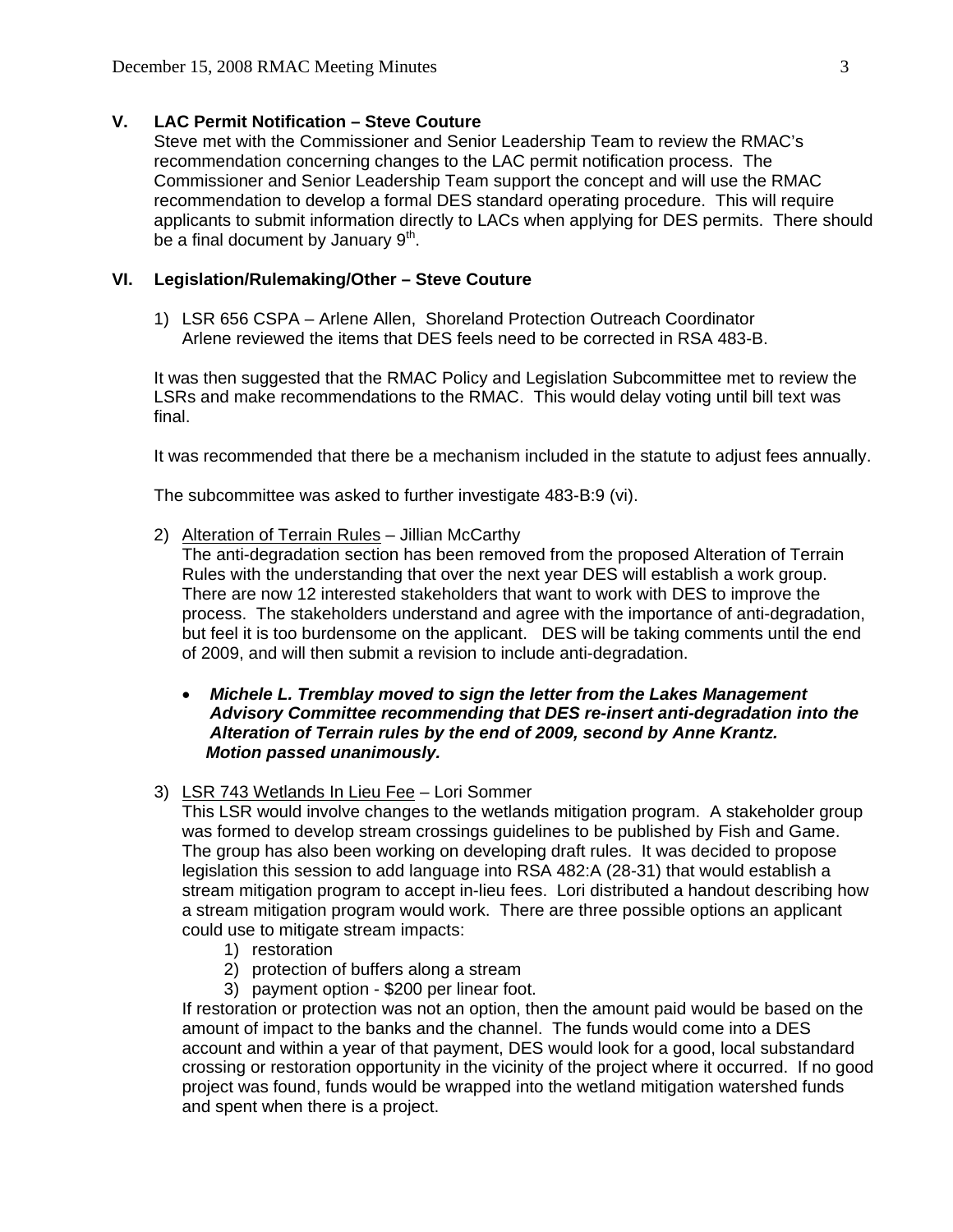## **V. LAC Permit Notification – Steve Couture**

Steve met with the Commissioner and Senior Leadership Team to review the RMAC's recommendation concerning changes to the LAC permit notification process. The Commissioner and Senior Leadership Team support the concept and will use the RMAC recommendation to develop a formal DES standard operating procedure. This will require applicants to submit information directly to LACs when applying for DES permits. There should be a final document by January  $9<sup>th</sup>$ .

### **VI. Legislation/Rulemaking/Other – Steve Couture**

1) LSR 656 CSPA – Arlene Allen, Shoreland Protection Outreach Coordinator Arlene reviewed the items that DES feels need to be corrected in RSA 483-B.

 It was then suggested that the RMAC Policy and Legislation Subcommittee met to review the LSRs and make recommendations to the RMAC. This would delay voting until bill text was final.

It was recommended that there be a mechanism included in the statute to adjust fees annually.

The subcommittee was asked to further investigate 483-B:9 (vi).

2) Alteration of Terrain Rules - Jillian McCarthy

The anti-degradation section has been removed from the proposed Alteration of Terrain Rules with the understanding that over the next year DES will establish a work group. There are now 12 interested stakeholders that want to work with DES to improve the process. The stakeholders understand and agree with the importance of anti-degradation, but feel it is too burdensome on the applicant. DES will be taking comments until the end of 2009, and will then submit a revision to include anti-degradation.

## • *Michele L. Tremblay moved to sign the letter from the Lakes Management Advisory Committee recommending that DES re-insert anti-degradation into the Alteration of Terrain rules by the end of 2009, second by Anne Krantz. Motion passed unanimously.*

3) LSR 743 Wetlands In Lieu Fee – Lori Sommer

This LSR would involve changes to the wetlands mitigation program. A stakeholder group was formed to develop stream crossings guidelines to be published by Fish and Game. The group has also been working on developing draft rules. It was decided to propose legislation this session to add language into RSA 482:A (28-31) that would establish a stream mitigation program to accept in-lieu fees. Lori distributed a handout describing how a stream mitigation program would work. There are three possible options an applicant could use to mitigate stream impacts:

- 1) restoration
- 2) protection of buffers along a stream
- 3) payment option \$200 per linear foot.

 If restoration or protection was not an option, then the amount paid would be based on the amount of impact to the banks and the channel. The funds would come into a DES account and within a year of that payment, DES would look for a good, local substandard crossing or restoration opportunity in the vicinity of the project where it occurred. If no good project was found, funds would be wrapped into the wetland mitigation watershed funds and spent when there is a project.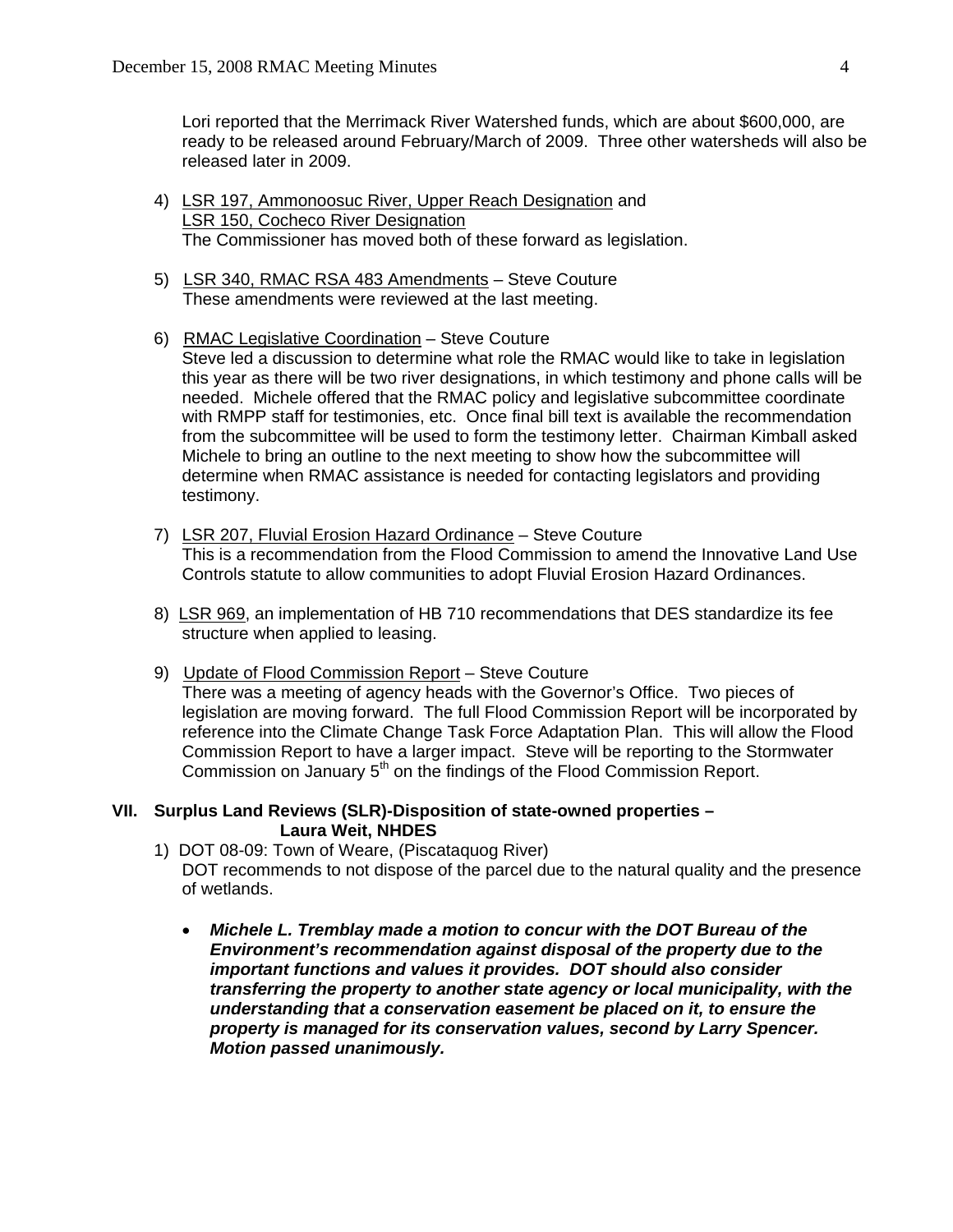Lori reported that the Merrimack River Watershed funds, which are about \$600,000, are ready to be released around February/March of 2009. Three other watersheds will also be released later in 2009.

- 4) LSR 197, Ammonoosuc River, Upper Reach Designation and LSR 150, Cocheco River Designation The Commissioner has moved both of these forward as legislation.
- 5) LSR 340, RMAC RSA 483 Amendments Steve Couture These amendments were reviewed at the last meeting.
- 6) RMAC Legislative Coordination Steve Couture Steve led a discussion to determine what role the RMAC would like to take in legislation this year as there will be two river designations, in which testimony and phone calls will be needed. Michele offered that the RMAC policy and legislative subcommittee coordinate with RMPP staff for testimonies, etc. Once final bill text is available the recommendation from the subcommittee will be used to form the testimony letter. Chairman Kimball asked Michele to bring an outline to the next meeting to show how the subcommittee will determine when RMAC assistance is needed for contacting legislators and providing testimony.
- 7) LSR 207, Fluvial Erosion Hazard Ordinance Steve Couture This is a recommendation from the Flood Commission to amend the Innovative Land Use Controls statute to allow communities to adopt Fluvial Erosion Hazard Ordinances.
- 8) LSR 969, an implementation of HB 710 recommendations that DES standardize its fee structure when applied to leasing.
- 9) Update of Flood Commission Report Steve Couture

 There was a meeting of agency heads with the Governor's Office. Two pieces of legislation are moving forward. The full Flood Commission Report will be incorporated by reference into the Climate Change Task Force Adaptation Plan. This will allow the Flood Commission Report to have a larger impact. Steve will be reporting to the Stormwater Commission on January 5<sup>th</sup> on the findings of the Flood Commission Report.

## **VII. Surplus Land Reviews (SLR)-Disposition of state-owned properties – Laura Weit, NHDES**

- 1) DOT 08-09: Town of Weare, (Piscataquog River) DOT recommends to not dispose of the parcel due to the natural quality and the presence of wetlands.
	- *Michele L. Tremblay made a motion to concur with the DOT Bureau of the Environment's recommendation against disposal of the property due to the important functions and values it provides. DOT should also consider transferring the property to another state agency or local municipality, with the understanding that a conservation easement be placed on it, to ensure the property is managed for its conservation values, second by Larry Spencer. Motion passed unanimously.*